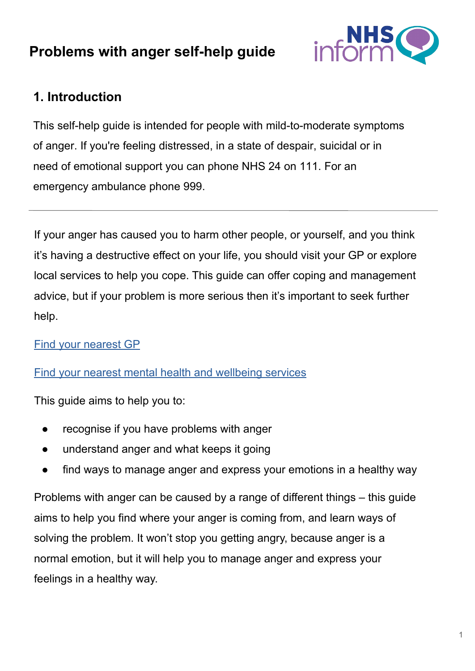# **Problems with anger self-help guide**



## **1. Introduction**

This self-help guide is intended for people with mild-to-moderate symptoms of anger. If you're feeling distressed, in a state of despair, suicidal or in need of emotional support you can phone NHS 24 on 111. For an emergency ambulance phone 999.

If your anger has caused you to harm other people, or yourself, and you think it's having a destructive effect on your life, you should visit your GP or explore local services to help you cope. This guide can offer coping and management advice, but if your problem is more serious then it's important to seek further help.

[Find your nearest GP](https://www.nhsinform.scot/scotlands-service-directory/gp-practices/)

[Find your nearest mental health and wellbeing services](https://www.nhsinform.scot/scotlands-service-directory/health-and-wellbeing-services?sortby=_distance&sortdir=Asc&svctype=15)

[This guide aims to hel](https://www.nhsinform.scot/scotlands-service-directory/gp-practices/)p you to:

- [recognise if you have problems with anger](https://www.nhsinform.scot/scotlands-service-directory/health-and-wellbeing-services?sortby=_distance&sortdir=Asc&svctype=15)
- understand anger and what keeps it going
- find ways to manage anger and express your emotions in a healthy way

Problems with anger can be caused by a range of different things – this guide aims to help you find where your anger is coming from, and learn ways of solving the problem. It won't stop you getting angry, because anger is a normal emotion, but it will help you to manage anger and express your feelings in a healthy way.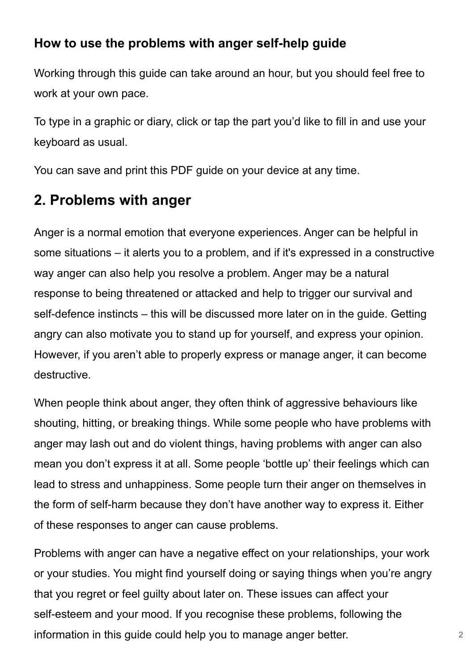## **How to use the problems with anger self-help guide**

Working through this guide can take around an hour, but you should feel free to work at your own pace.

To type in a graphic or diary, click or tap the part you'd like to fill in and use your keyboard as usual.

You can save and print this PDF guide on your device at any time.

# **2. Problems with anger**

Anger is a normal emotion that everyone experiences. Anger can be helpful in some situations – it alerts you to a problem, and if it's expressed in a constructive way anger can also help you resolve a problem. Anger may be a natural response to being threatened or attacked and help to trigger our survival and self-defence instincts – this will be discussed more later on in the guide. Getting angry can also motivate you to stand up for yourself, and express your opinion. However, if you aren't able to properly express or manage anger, it can become destructive.

When people think about anger, they often think of aggressive behaviours like shouting, hitting, or breaking things. While some people who have problems with anger may lash out and do violent things, having problems with anger can also mean you don't express it at all. Some people 'bottle up' their feelings which can lead to stress and unhappiness. Some people turn their anger on themselves in the form of self-harm because they don't have another way to express it. Either of these responses to anger can cause problems.

Problems with anger can have a negative effect on your relationships, your work or your studies. You might find yourself doing or saying things when you're angry that you regret or feel guilty about later on. These issues can affect your self-esteem and your mood. If you recognise these problems, following the information in this guide could help you to manage anger better.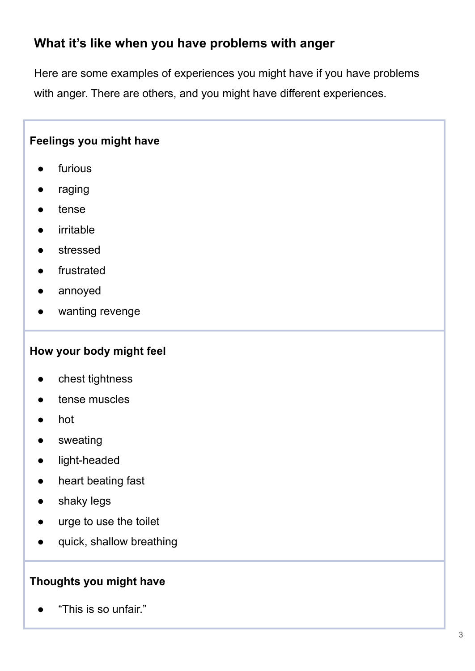## **What it's like when you have problems with anger**

Here are some examples of experiences you might have if you have problems with anger. There are others, and you might have different experiences.

#### **Feelings you might have**

- furious
- raging
- tense
- irritable
- stressed
- frustrated
- annoyed
- wanting revenge

#### **How your body might feel**

- chest tightness
- tense muscles
- hot
- sweating
- light-headed
- heart beating fast
- shaky legs
- urge to use the toilet
- quick, shallow breathing

#### **Thoughts you might have**

"This is so unfair."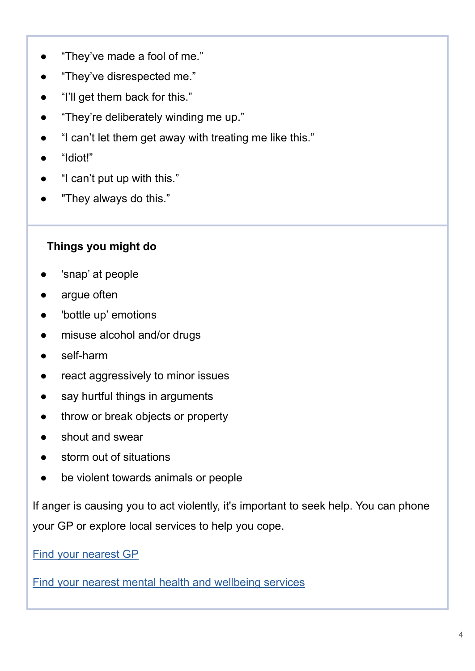- "They've made a fool of me."
- "They've disrespected me."
- "I'll get them back for this."
- "They're deliberately winding me up."
- "I can't let them get away with treating me like this."
- "Idiot!"
- "I can't put up with this."
- "They always do this."

#### **Things you might do**

- 'snap' at people
- argue often
- 'bottle up' emotions
- misuse alcohol and/or drugs
- self-harm
- react aggressively to minor issues
- say hurtful things in arguments
- throw or break objects or property
- shout and swear
- storm out of situations
- be violent towards animals or people

If anger is causing you to act violently, it's important to seek help. You can phone your GP or explore local services to help you cope.

[Find your nearest GP](https://www.nhsinform.scot/scotlands-service-directory/gp-practices/)

[Find your nearest mental health and wellbeing services](https://www.nhsinform.scot/scotlands-service-directory/health-and-wellbeing-services?sortby=_distance&sortdir=Asc&svctype=15)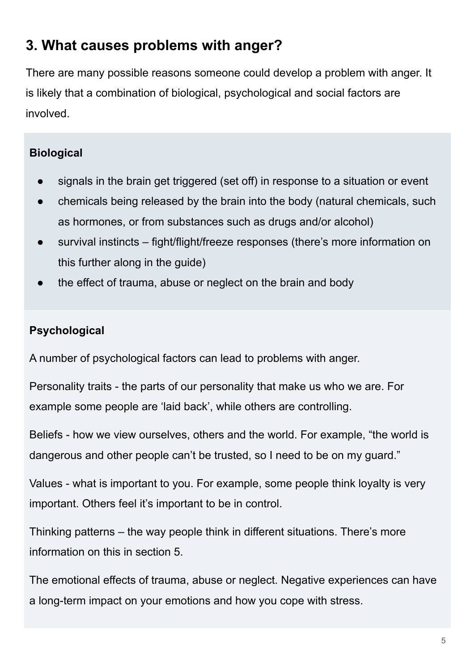# **3. What causes problems with anger?**

There are many possible reasons someone could develop a problem with anger. It is likely that a combination of biological, psychological and social factors are involved.

### **Biological**

- signals in the brain get triggered (set off) in response to a situation or event
- chemicals being released by the brain into the body (natural chemicals, such as hormones, or from substances such as drugs and/or alcohol)
- survival instincts fight/flight/freeze responses (there's more information on this further along in the guide)
- the effect of trauma, abuse or neglect on the brain and body

## **Psychological**

A number of psychological factors can lead to problems with anger.

Personality traits - the parts of our personality that make us who we are. For example some people are 'laid back', while others are controlling.

Beliefs - how we view ourselves, others and the world. For example, "the world is dangerous and other people can't be trusted, so I need to be on my guard."

Values - what is important to you. For example, some people think loyalty is very important. Others feel it's important to be in control.

Thinking patterns – the way people think in different situations. There's more information on this in section 5.

The emotional effects of trauma, abuse or neglect. Negative experiences can have a long-term impact on your emotions and how you cope with stress.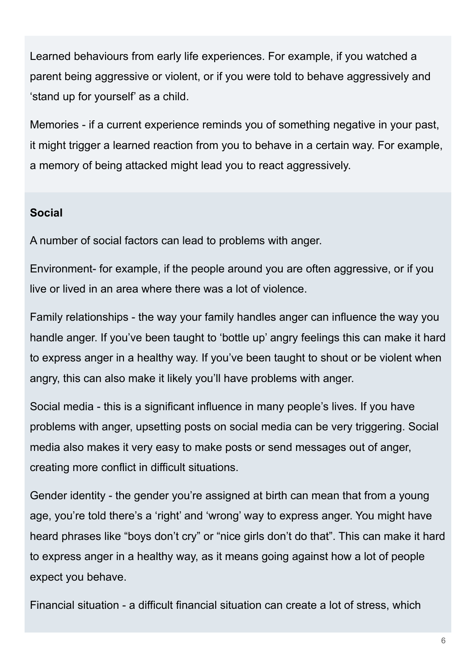Learned behaviours from early life experiences. For example, if you watched a parent being aggressive or violent, or if you were told to behave aggressively and 'stand up for yourself' as a child.

Memories - if a current experience reminds you of something negative in your past, it might trigger a learned reaction from you to behave in a certain way. For example, a memory of being attacked might lead you to react aggressively.

#### **Social**

A number of social factors can lead to problems with anger.

Environment- for example, if the people around you are often aggressive, or if you live or lived in an area where there was a lot of violence.

Family relationships - the way your family handles anger can influence the way you handle anger. If you've been taught to 'bottle up' angry feelings this can make it hard to express anger in a healthy way. If you've been taught to shout or be violent when angry, this can also make it likely you'll have problems with anger.

Social media - this is a significant influence in many people's lives. If you have problems with anger, upsetting posts on social media can be very triggering. Social media also makes it very easy to make posts or send messages out of anger, creating more conflict in difficult situations.

Gender identity - the gender you're assigned at birth can mean that from a young age, you're told there's a 'right' and 'wrong' way to express anger. You might have heard phrases like "boys don't cry" or "nice girls don't do that". This can make it hard to express anger in a healthy way, as it means going against how a lot of people expect you behave.

Financial situation - a difficult financial situation can create a lot of stress, which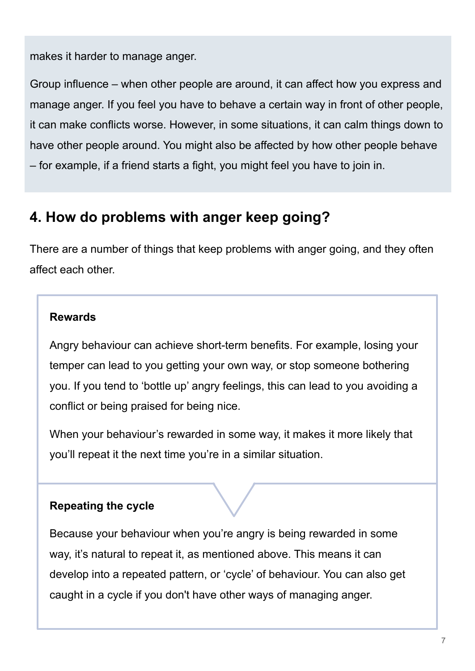makes it harder to manage anger.

Group influence – when other people are around, it can affect how you express and manage anger. If you feel you have to behave a certain way in front of other people, it can make conflicts worse. However, in some situations, it can calm things down to have other people around. You might also be affected by how other people behave – for example, if a friend starts a fight, you might feel you have to join in.

# **4. How do problems with anger keep going?**

There are a number of things that keep problems with anger going, and they often affect each other.

#### **Rewards**

Angry behaviour can achieve short-term benefits. For example, losing your temper can lead to you getting your own way, or stop someone bothering you. If you tend to 'bottle up' angry feelings, this can lead to you avoiding a conflict or being praised for being nice.

When your behaviour's rewarded in some way, it makes it more likely that you'll repeat it the next time you're in a similar situation.

#### **Repeating the cycle**

Because your behaviour when you're angry is being rewarded in some way, it's natural to repeat it, as mentioned above. This means it can develop into a repeated pattern, or 'cycle' of behaviour. You can also get caught in a cycle if you don't have other ways of managing anger.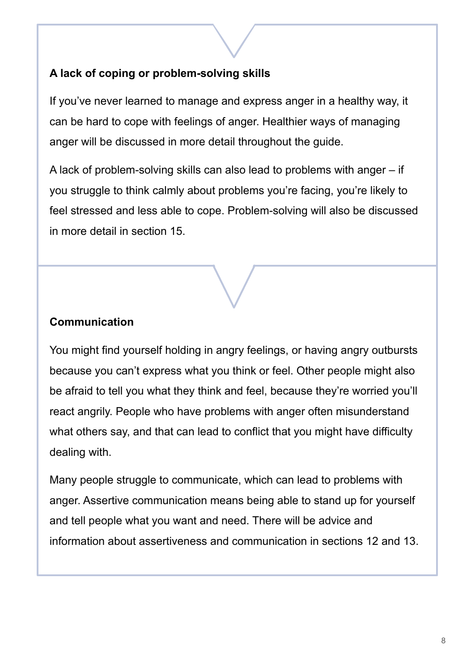### **A lack of coping or problem-solving skills**

If you've never learned to manage and express anger in a healthy way, it can be hard to cope with feelings of anger. Healthier ways of managing anger will be discussed in more detail throughout the guide.

A lack of problem-solving skills can also lead to problems with anger – if you struggle to think calmly about problems you're facing, you're likely to feel stressed and less able to cope. Problem-solving will also be discussed in more detail in section 15.

#### **Communication**

You might find yourself holding in angry feelings, or having angry outbursts because you can't express what you think or feel. Other people might also be afraid to tell you what they think and feel, because they're worried you'll react angrily. People who have problems with anger often misunderstand what others say, and that can lead to conflict that you might have difficulty dealing with.

Many people struggle to communicate, which can lead to problems with anger. Assertive communication means being able to stand up for yourself and tell people what you want and need. There will be advice and information about assertiveness and communication in sections 12 and 13.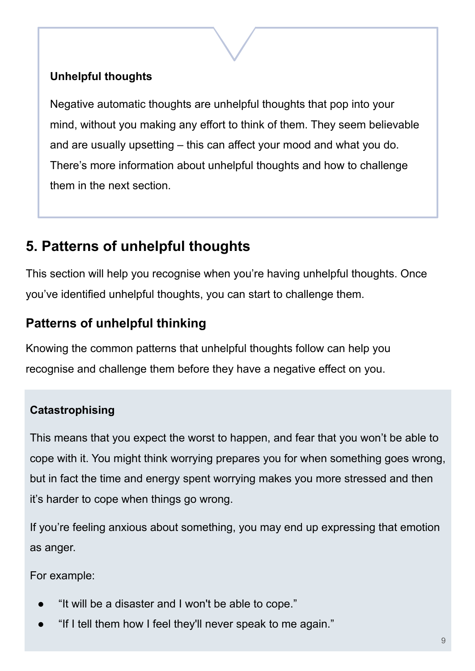## **Unhelpful thoughts**

Negative automatic thoughts are unhelpful thoughts that pop into your mind, without you making any effort to think of them. They seem believable and are usually upsetting – this can affect your mood and what you do. There's more information about unhelpful thoughts and how to challenge them in the next section.

# **5. Patterns of unhelpful thoughts**

This section will help you recognise when you're having unhelpful thoughts. Once you've identified unhelpful thoughts, you can start to challenge them.

# **Patterns of unhelpful thinking**

Knowing the common patterns that unhelpful thoughts follow can help you recognise and challenge them before they have a negative effect on you.

# Here are some common patterns of unhelpful thinking: **Catastrophising**

This means that you expect the worst to happen, and fear that you won't be able to cope with it. You might think worrying prepares you for when something goes wrong, but in fact the time and energy spent worrying makes you more stressed and then it's harder to cope when things go wrong.

If you're feeling anxious about something, you may end up expressing that emotion as anger.

For example:

- "It will be a disaster and I won't be able to cope."
- "If I tell them how I feel they'll never speak to me again."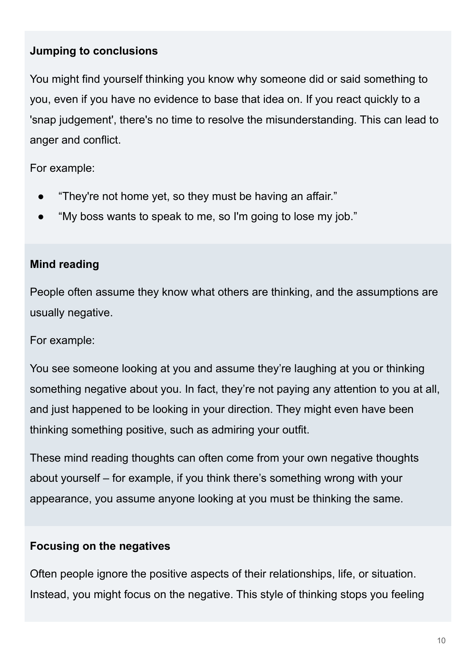#### **Jumping to conclusions**

You might find yourself thinking you know why someone did or said something to you, even if you have no evidence to base that idea on. If you react quickly to a 'snap judgement', there's no time to resolve the misunderstanding. This can lead to anger and conflict.

For example:

- "They're not home yet, so they must be having an affair."
- "My boss wants to speak to me, so I'm going to lose my job."

#### **Mind reading**

People often assume they know what others are thinking, and the assumptions are usually negative.

For example:

You see someone looking at you and assume they're laughing at you or thinking something negative about you. In fact, they're not paying any attention to you at all, and just happened to be looking in your direction. They might even have been thinking something positive, such as admiring your outfit.

These mind reading thoughts can often come from your own negative thoughts about yourself – for example, if you think there's something wrong with your appearance, you assume anyone looking at you must be thinking the same.

#### **Focusing on the negatives**

Often people ignore the positive aspects of their relationships, life, or situation. Instead, you might focus on the negative. This style of thinking stops you feeling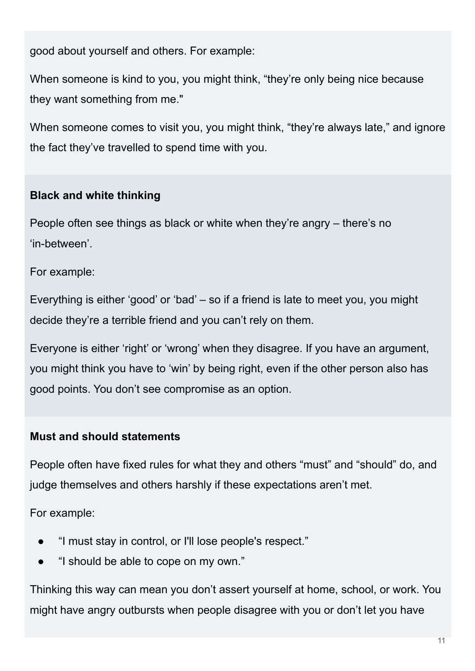good about yourself and others. For example:

When someone is kind to you, you might think, "they're only being nice because they want something from me."

When someone comes to visit you, you might think, "they're always late," and ignore the fact they've travelled to spend time with you.

### **Black and white thinking**

People often see things as black or white when they're angry – there's no 'in-between'.

For example:

Everything is either 'good' or 'bad' – so if a friend is late to meet you, you might decide they're a terrible friend and you can't rely on them.

Everyone is either 'right' or 'wrong' when they disagree. If you have an argument, you might think you have to 'win' by being right, even if the other person also has good points. You don't see compromise as an option.

#### **Must and should statements**

People often have fixed rules for what they and others "must" and "should" do, and judge themselves and others harshly if these expectations aren't met.

For example:

- "I must stay in control, or I'll lose people's respect."
- "I should be able to cope on my own."

Thinking this way can mean you don't assert yourself at home, school, or work. You might have angry outbursts when people disagree with you or don't let you have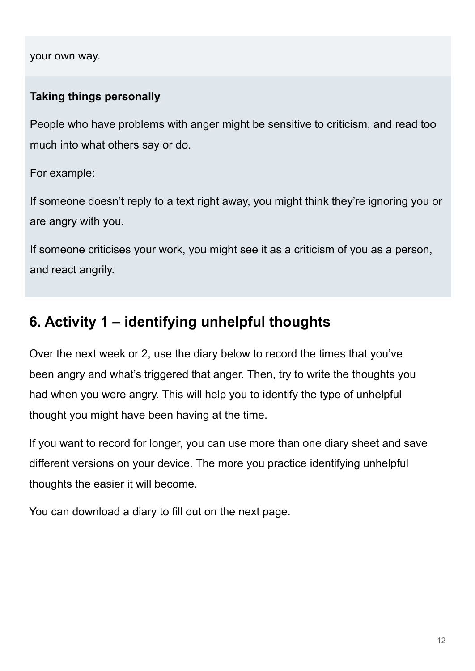your own way.

#### **Taking things personally**

People who have problems with anger might be sensitive to criticism, and read too much into what others say or do.

For example:

If someone doesn't reply to a text right away, you might think they're ignoring you or are angry with you.

If someone criticises your work, you might see it as a criticism of you as a person, and react angrily.

# **6. Activity 1 – identifying unhelpful thoughts**

Over the next week or 2, use the diary below to record the times that you've been angry and what's triggered that anger. Then, try to write the thoughts you had when you were angry. This will help you to identify the type of unhelpful thought you might have been having at the time.

If you want to record for longer, you can use more than one diary sheet and save different versions on your device. The more you practice identifying unhelpful thoughts the easier it will become.

You can download a diary to fill out on the next page.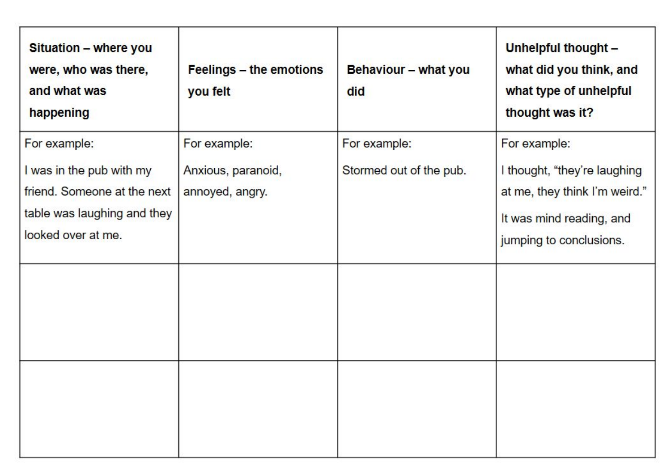| Situation - where you<br>were, who was there,<br>and what was<br>happening                                                   | Feelings - the emotions<br>you felt                   | Behaviour - what you<br>did             | Unhelpful thought -<br>what did you think, and<br>what type of unhelpful<br>thought was it?                                          |
|------------------------------------------------------------------------------------------------------------------------------|-------------------------------------------------------|-----------------------------------------|--------------------------------------------------------------------------------------------------------------------------------------|
| For example:<br>I was in the pub with my<br>friend. Someone at the next<br>table was laughing and they<br>looked over at me. | For example:<br>Anxious, paranoid,<br>annoyed, angry. | For example:<br>Stormed out of the pub. | For example:<br>I thought, "they're laughing<br>at me, they think I'm weird."<br>It was mind reading, and<br>jumping to conclusions. |
|                                                                                                                              |                                                       |                                         |                                                                                                                                      |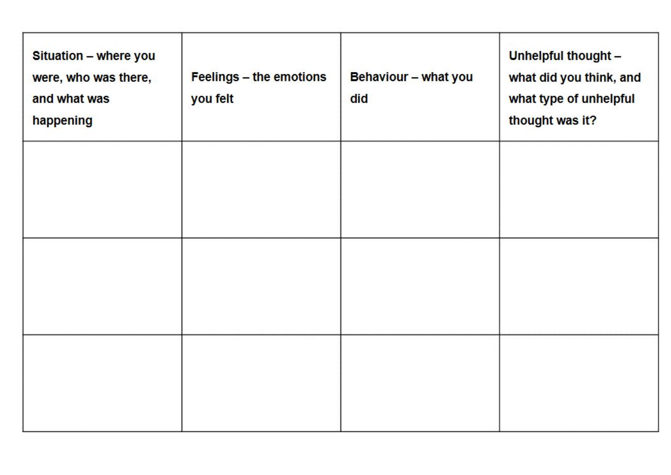| Situation - where you<br>were, who was there,<br>and what was<br>happening | Feelings - the emotions<br>you felt | Behaviour - what you<br>did | Unhelpful thought -<br>what did you think, and<br>what type of unhelpful<br>thought was it? |
|----------------------------------------------------------------------------|-------------------------------------|-----------------------------|---------------------------------------------------------------------------------------------|
|                                                                            |                                     |                             |                                                                                             |
|                                                                            |                                     |                             |                                                                                             |
|                                                                            |                                     |                             |                                                                                             |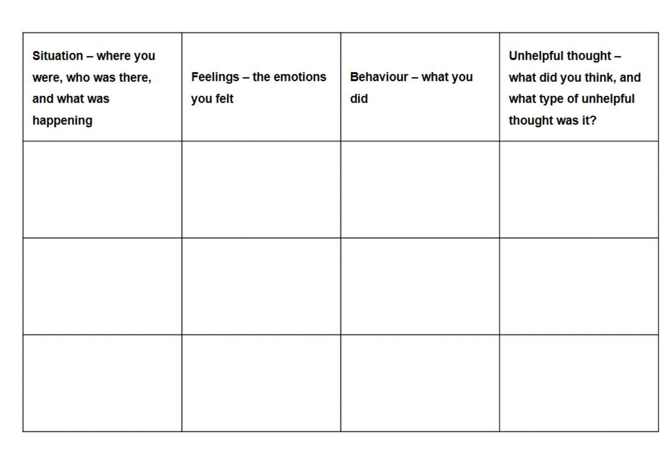| Situation - where you<br>were, who was there,<br>and what was<br>happening | Feelings - the emotions<br>you felt | Behaviour - what you<br>did | Unhelpful thought -<br>what did you think, and<br>what type of unhelpful<br>thought was it? |
|----------------------------------------------------------------------------|-------------------------------------|-----------------------------|---------------------------------------------------------------------------------------------|
|                                                                            |                                     |                             |                                                                                             |
|                                                                            |                                     |                             |                                                                                             |
|                                                                            |                                     |                             |                                                                                             |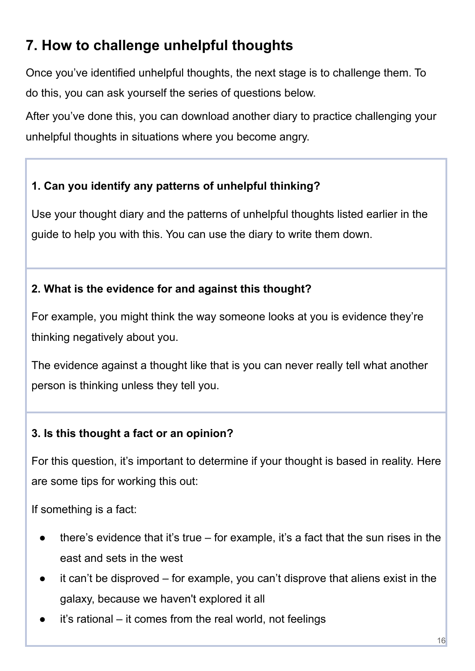# **7. How to challenge unhelpful thoughts**

Once you've identified unhelpful thoughts, the next stage is to challenge them. To do this, you can ask yourself the series of questions below.

After you've done this, you can download another diary to practice challenging your unhelpful thoughts in situations where you become angry.

### **1. Can you identify any patterns of unhelpful thinking?**

Use your thought diary and the patterns of unhelpful thoughts listed earlier in the guide to help you with this. You can use the diary to write them down.

#### **2. What is the evidence for and against this thought?**

For example, you might think the way someone looks at you is evidence they're thinking negatively about you.

The evidence against a thought like that is you can never really tell what another person is thinking unless they tell you.

### **3. Is this thought a fact or an opinion?**

For this question, it's important to determine if your thought is based in reality. Here are some tips for working this out:

If something is a fact:

- there's evidence that it's true for example, it's a fact that the sun rises in the east and sets in the west
- it can't be disproved for example, you can't disprove that aliens exist in the galaxy, because we haven't explored it all
- it's rational it comes from the real world, not feelings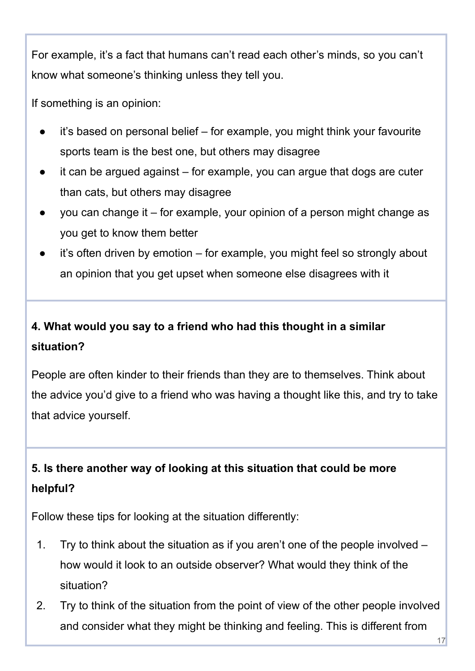For example, it's a fact that humans can't read each other's minds, so you can't know what someone's thinking unless they tell you.

If something is an opinion:

- it's based on personal belief for example, you might think your favourite sports team is the best one, but others may disagree
- it can be argued against  $-$  for example, you can argue that dogs are cuter than cats, but others may disagree
- you can change it for example, your opinion of a person might change as you get to know them better
- it's often driven by emotion for example, you might feel so strongly about an opinion that you get upset when someone else disagrees with it

# **4. What would you say to a friend who had this thought in a similar situation?**

People are often kinder to their friends than they are to themselves. Think about the advice you'd give to a friend who was having a thought like this, and try to take that advice yourself.

# **5. Is there another way of looking at this situation that could be more helpful?**

Follow these tips for looking at the situation differently:

- 1. Try to think about the situation as if you aren't one of the people involved how would it look to an outside observer? What would they think of the situation?
- 2. Try to think of the situation from the point of view of the other people involved and consider what they might be thinking and feeling. This is different from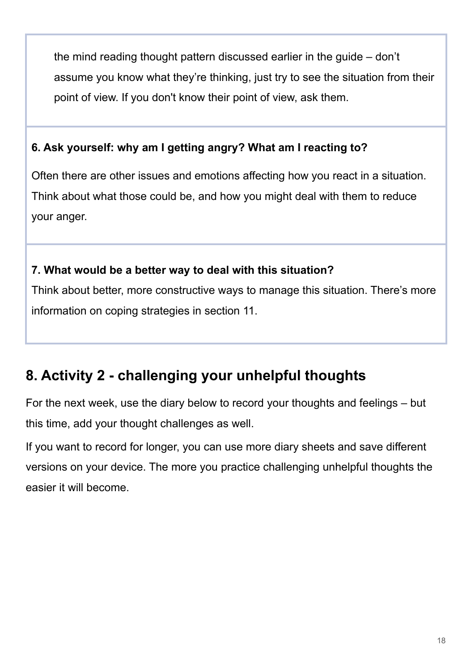the mind reading thought pattern discussed earlier in the guide – don't assume you know what they're thinking, just try to see the situation from their point of view. If you don't know their point of view, ask them.

#### **6. Ask yourself: why am I getting angry? What am I reacting to?**

Often there are other issues and emotions affecting how you react in a situation. Think about what those could be, and how you might deal with them to reduce your anger.

#### **7. What would be a better way to deal with this situation?**

Think about better, more constructive ways to manage this situation. There's more information on coping strategies in section 11.

# **8. Activity 2 - challenging your unhelpful thoughts**

For the next week, use the diary below to record your thoughts and feelings – but this time, add your thought challenges as well.

If you want to record for longer, you can use more diary sheets and save different versions on your device. The more you practice challenging unhelpful thoughts the easier it will become.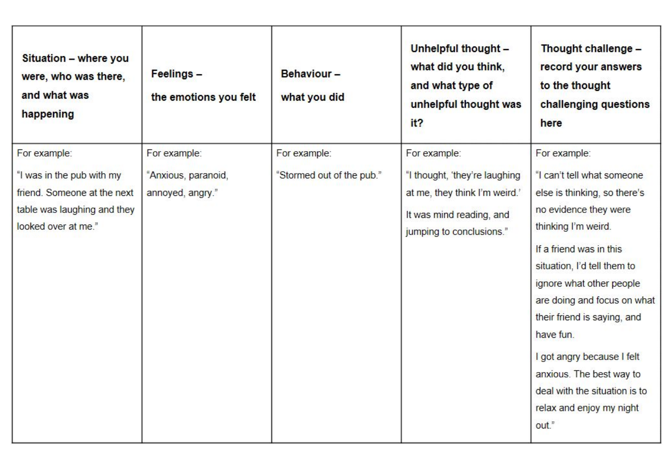| Situation - where you<br>were, who was there,<br>and what was<br>happening                                                     | Feelings -<br>the emotions you felt                     | Behaviour-<br>what you did                | Unhelpful thought -<br>what did you think,<br>and what type of<br>unhelpful thought was<br>it?                                         | Thought challenge -<br>record your answers<br>to the thought<br>challenging questions<br>here                                                                                                                                                                                                                                                         |
|--------------------------------------------------------------------------------------------------------------------------------|---------------------------------------------------------|-------------------------------------------|----------------------------------------------------------------------------------------------------------------------------------------|-------------------------------------------------------------------------------------------------------------------------------------------------------------------------------------------------------------------------------------------------------------------------------------------------------------------------------------------------------|
| For example:<br>"I was in the pub with my<br>friend. Someone at the next<br>table was laughing and they<br>looked over at me." | For example:<br>"Anxious, paranoid,<br>annoyed, angry." | For example:<br>"Stormed out of the pub." | For example:<br>"I thought, 'they're laughing<br>at me, they think I'm weird.'<br>It was mind reading, and<br>jumping to conclusions." | For example:<br>"I can't tell what someone<br>else is thinking, so there's<br>no evidence they were<br>thinking I'm weird.<br>If a friend was in this<br>situation, I'd tell them to<br>ignore what other people<br>are doing and focus on what<br>their friend is saying, and<br>have fun.<br>I got angry because I felt<br>anxious. The best way to |
|                                                                                                                                |                                                         |                                           |                                                                                                                                        | deal with the situation is to<br>relax and enjoy my night<br>out."                                                                                                                                                                                                                                                                                    |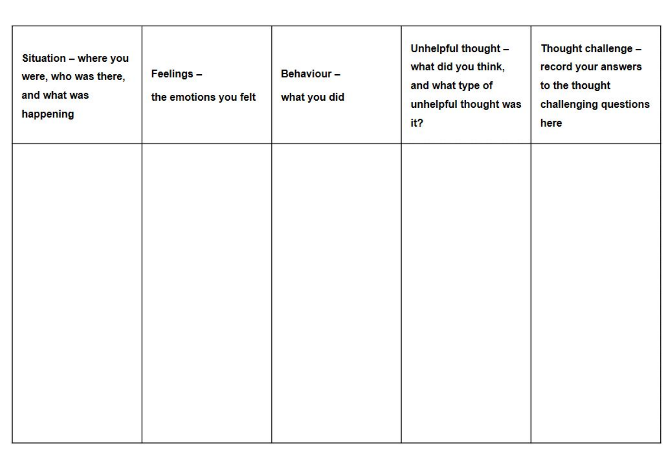| Situation - where you<br>were, who was there,<br>and what was<br>happening | Feelings -<br>the emotions you felt | Behaviour-<br>what you did | Unhelpful thought -<br>what did you think,<br>and what type of<br>unhelpful thought was<br>it? | Thought challenge -<br>record your answers<br>to the thought<br>challenging questions<br>here |
|----------------------------------------------------------------------------|-------------------------------------|----------------------------|------------------------------------------------------------------------------------------------|-----------------------------------------------------------------------------------------------|
|                                                                            |                                     |                            |                                                                                                |                                                                                               |
|                                                                            |                                     |                            |                                                                                                |                                                                                               |
|                                                                            |                                     |                            |                                                                                                |                                                                                               |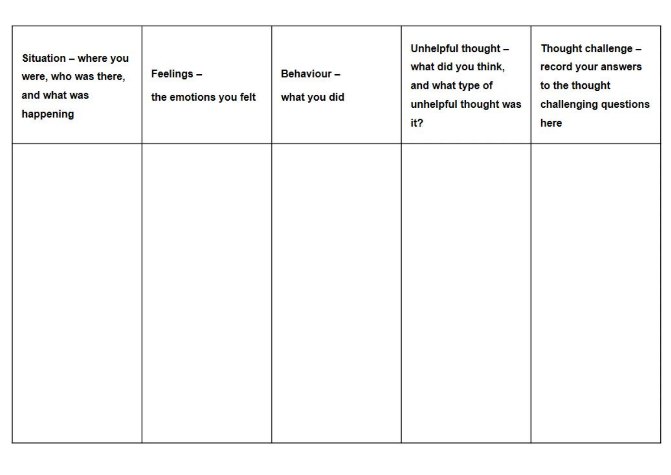| Situation - where you<br>were, who was there,<br>and what was<br>happening | Feelings -<br>the emotions you felt | Behaviour-<br>what you did | Unhelpful thought -<br>what did you think,<br>and what type of<br>unhelpful thought was<br>it? | Thought challenge -<br>record your answers<br>to the thought<br>challenging questions<br>here |
|----------------------------------------------------------------------------|-------------------------------------|----------------------------|------------------------------------------------------------------------------------------------|-----------------------------------------------------------------------------------------------|
|                                                                            |                                     |                            |                                                                                                |                                                                                               |
|                                                                            |                                     |                            |                                                                                                |                                                                                               |
|                                                                            |                                     |                            |                                                                                                |                                                                                               |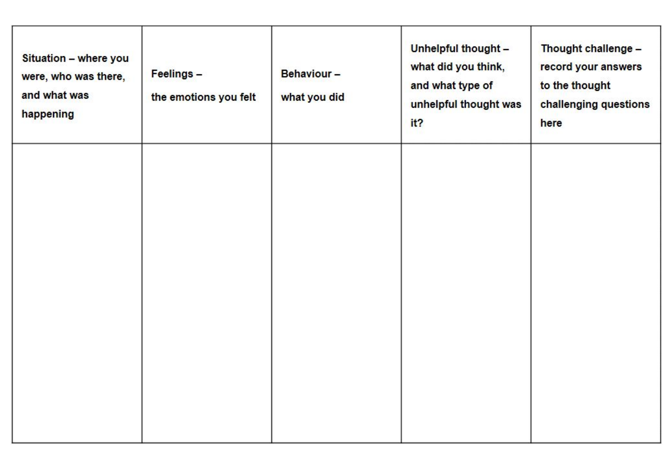| Situation - where you<br>were, who was there,<br>and what was<br>happening | Feelings -<br>the emotions you felt | Behaviour-<br>what you did | Unhelpful thought -<br>what did you think,<br>and what type of<br>unhelpful thought was<br>it? | Thought challenge -<br>record your answers<br>to the thought<br>challenging questions<br>here |
|----------------------------------------------------------------------------|-------------------------------------|----------------------------|------------------------------------------------------------------------------------------------|-----------------------------------------------------------------------------------------------|
|                                                                            |                                     |                            |                                                                                                |                                                                                               |
|                                                                            |                                     |                            |                                                                                                |                                                                                               |
|                                                                            |                                     |                            |                                                                                                |                                                                                               |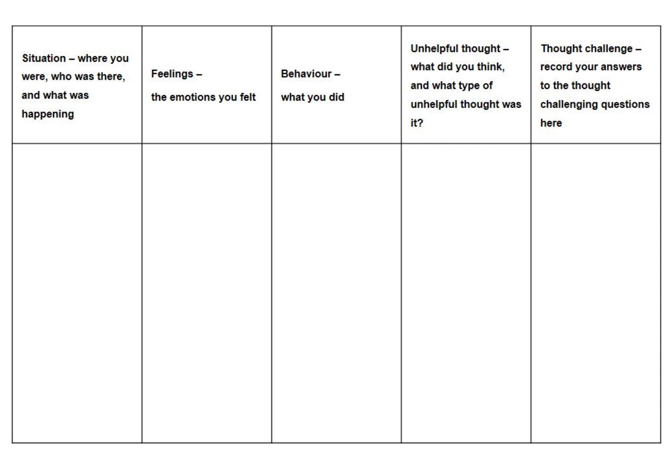| Situation - where you<br>were, who was there,<br>and what was<br>happening | Feelings -<br>the emotions you felt | Behaviour-<br>what you did | Unhelpful thought -<br>what did you think,<br>and what type of<br>unhelpful thought was<br>it? | Thought challenge -<br>record your answers<br>to the thought<br>challenging questions<br>here |
|----------------------------------------------------------------------------|-------------------------------------|----------------------------|------------------------------------------------------------------------------------------------|-----------------------------------------------------------------------------------------------|
|                                                                            |                                     |                            |                                                                                                |                                                                                               |
|                                                                            |                                     |                            |                                                                                                |                                                                                               |
|                                                                            |                                     |                            |                                                                                                |                                                                                               |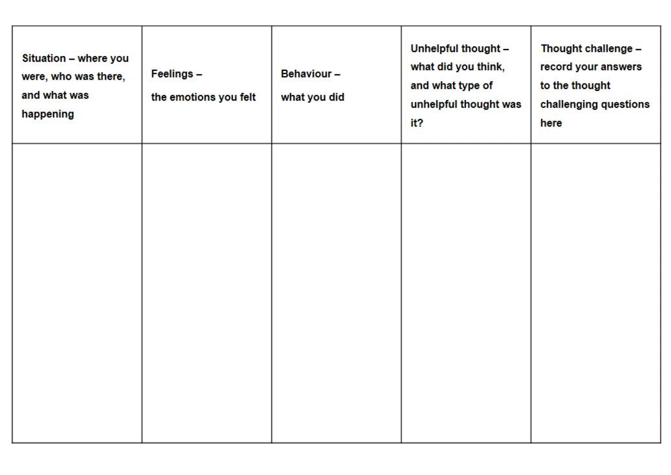| Situation - where you<br>were, who was there,<br>and what was<br>happening | Feelings -<br>the emotions you felt | Behaviour-<br>what you did | Unhelpful thought -<br>what did you think,<br>and what type of<br>unhelpful thought was<br>it? | Thought challenge -<br>record your answers<br>to the thought<br>challenging questions<br>here |
|----------------------------------------------------------------------------|-------------------------------------|----------------------------|------------------------------------------------------------------------------------------------|-----------------------------------------------------------------------------------------------|
|                                                                            |                                     |                            |                                                                                                |                                                                                               |
|                                                                            |                                     |                            |                                                                                                |                                                                                               |
|                                                                            |                                     |                            |                                                                                                |                                                                                               |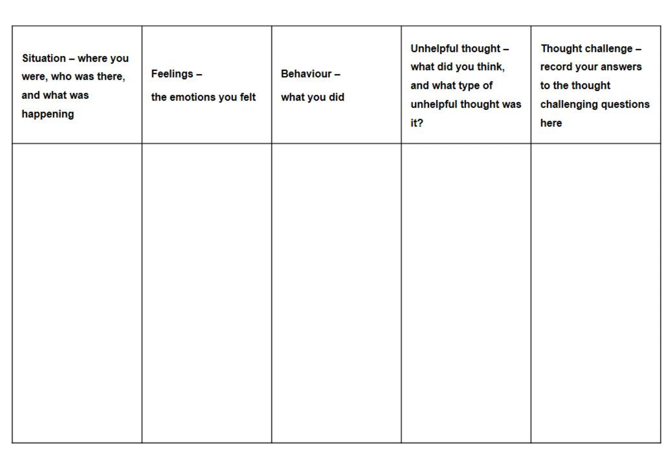| Situation - where you<br>were, who was there,<br>and what was<br>happening | Feelings -<br>the emotions you felt | Behaviour-<br>what you did | Unhelpful thought -<br>what did you think,<br>and what type of<br>unhelpful thought was<br>it? | Thought challenge -<br>record your answers<br>to the thought<br>challenging questions<br>here |
|----------------------------------------------------------------------------|-------------------------------------|----------------------------|------------------------------------------------------------------------------------------------|-----------------------------------------------------------------------------------------------|
|                                                                            |                                     |                            |                                                                                                |                                                                                               |
|                                                                            |                                     |                            |                                                                                                |                                                                                               |
|                                                                            |                                     |                            |                                                                                                |                                                                                               |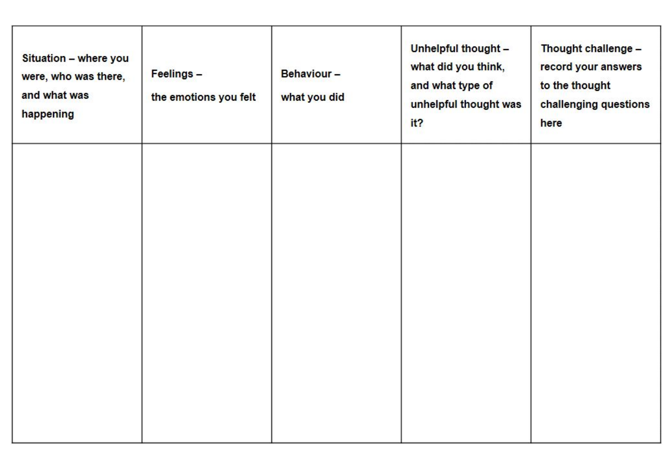| Situation - where you<br>were, who was there,<br>and what was<br>happening | Feelings -<br>the emotions you felt | Behaviour-<br>what you did | Unhelpful thought -<br>what did you think,<br>and what type of<br>unhelpful thought was<br>it? | Thought challenge -<br>record your answers<br>to the thought<br>challenging questions<br>here |
|----------------------------------------------------------------------------|-------------------------------------|----------------------------|------------------------------------------------------------------------------------------------|-----------------------------------------------------------------------------------------------|
|                                                                            |                                     |                            |                                                                                                |                                                                                               |
|                                                                            |                                     |                            |                                                                                                |                                                                                               |
|                                                                            |                                     |                            |                                                                                                |                                                                                               |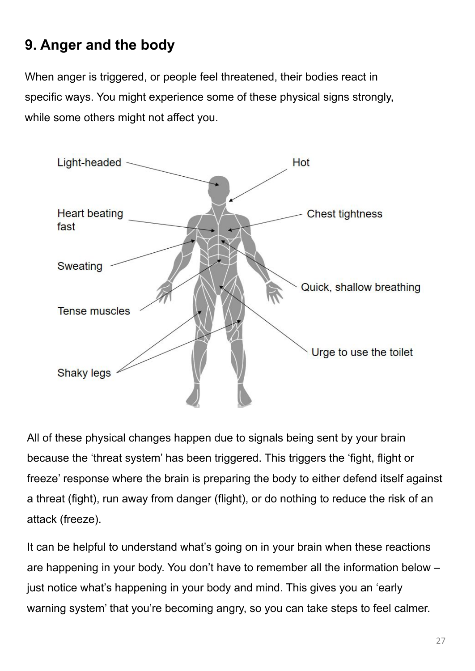# **9. Anger and the body**

When anger is triggered, or people feel threatened, their bodies react in specific ways. You might experience some of these physical signs strongly, while some others might not affect you.



All of these physical changes happen due to signals being sent by your brain because the 'threat system' has been triggered. This triggers the 'fight, flight or freeze' response where the brain is preparing the body to either defend itself against a threat (fight), run away from danger (flight), or do nothing to reduce the risk of an attack (freeze).

It can be helpful to understand what's going on in your brain when these reactions are happening in your body. You don't have to remember all the information below – just notice what's happening in your body and mind. This gives you an 'early warning system' that you're becoming angry, so you can take steps to feel calmer.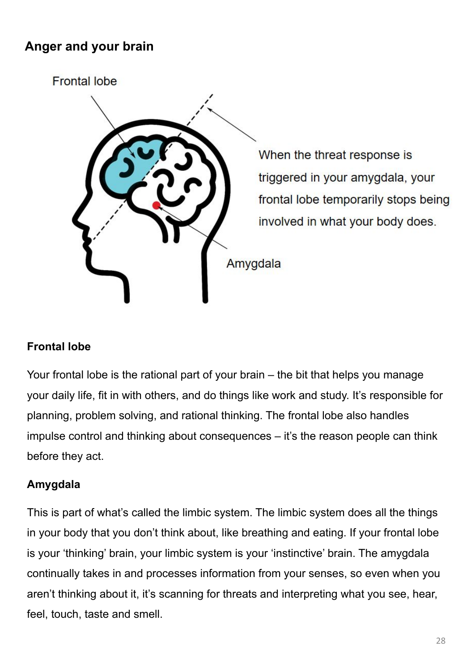## **Anger and your brain**



When the threat response is triggered in your amygdala, your frontal lobe temporarily stops being involved in what your body does.

#### **Frontal lobe**

Your frontal lobe is the rational part of your brain – the bit that helps you manage your daily life, fit in with others, and do things like work and study. It's responsible for planning, problem solving, and rational thinking. The frontal lobe also handles impulse control and thinking about consequences – it's the reason people can think before they act.

#### **Amygdala**

This is part of what's called the limbic system. The limbic system does all the things in your body that you don't think about, like breathing and eating. If your frontal lobe is your 'thinking' brain, your limbic system is your 'instinctive' brain. The amygdala continually takes in and processes information from your senses, so even when you aren't thinking about it, it's scanning for threats and interpreting what you see, hear, feel, touch, taste and smell.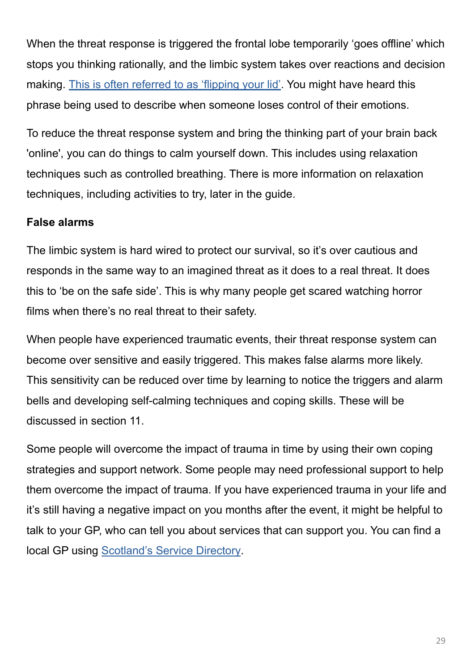When the threat response is triggered the frontal lobe temporarily 'goes offline' which stops you thinking rationally, and the limbic system takes over reactions and decision making. [This is often referred to as 'flipping your lid'](https://www.youtube.com/watch?v=GOoRSN1V898). You might have heard this phrase being used to describe when someone loses control of their emotions.

To reduce the threat response system and bring the thinking part of your brain back 'online', you can do things to calm yourself down. This includes using relaxation techniques such as controlled breathing. There is more information on relaxation techniques, including activities to try, later in the guide.

#### **False alarms**

The limbic system is hard wired to protect our survival, so it's over cautious and responds in the same way to an imagined threat as it does to a real threat. It does this to 'be on the safe side'. This is why many people get scared watching horror films when there's no real threat to their safety.

When people have experienced traumatic events, their threat response system can become over sensitive and easily triggered. This makes false alarms more likely. This sensitivity can be reduced over time by learning to notice the triggers and alarm bells and developing self-calming techniques and coping skills. These will be discussed in section 11.

Some people will overcome the impact of trauma in time by using their own coping strategies and support network. Some people may need professional support to help them overcome the impact of trauma. If you have experienced trauma in your life and it's still having a negative impact on you months after the event, it might be helpful to talk to your GP, who can tell you about services that can support you. You can find a local GP using [Scotland's Service Directory.](https://www.nhsinform.scot/scotlands-service-directory/gp-practices/)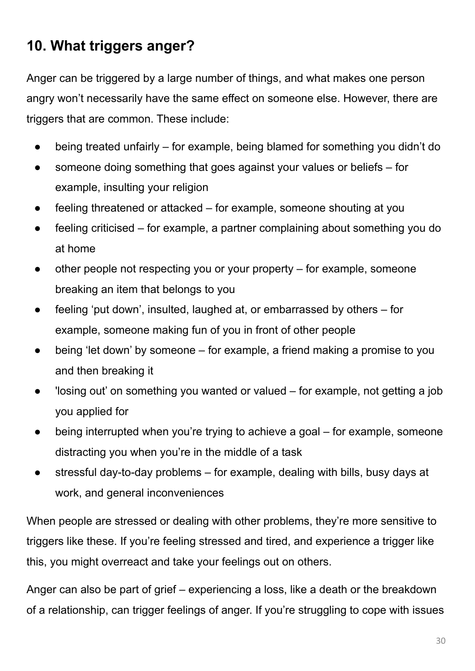# **10. What triggers anger?**

Anger can be triggered by a large number of things, and what makes one person angry won't necessarily have the same effect on someone else. However, there are triggers that are common. These include:

- being treated unfairly for example, being blamed for something you didn't do
- someone doing something that goes against your values or beliefs for example, insulting your religion
- $f$  feeling threatened or attacked for example, someone shouting at you
- feeling criticised for example, a partner complaining about something you do at home
- other people not respecting you or your property  $-$  for example, someone breaking an item that belongs to you
- feeling 'put down', insulted, laughed at, or embarrassed by others for example, someone making fun of you in front of other people
- being 'let down' by someone for example, a friend making a promise to you and then breaking it
- 'losing out' on something you wanted or valued for example, not getting a job you applied for
- being interrupted when you're trying to achieve a goal for example, someone distracting you when you're in the middle of a task
- stressful day-to-day problems  $-$  for example, dealing with bills, busy days at work, and general inconveniences

When people are stressed or dealing with other problems, they're more sensitive to triggers like these. If you're feeling stressed and tired, and experience a trigger like this, you might overreact and take your feelings out on others.

Anger can also be part of grief – experiencing a loss, like a death or the breakdown of a relationship, can trigger feelings of anger. If you're struggling to cope with issues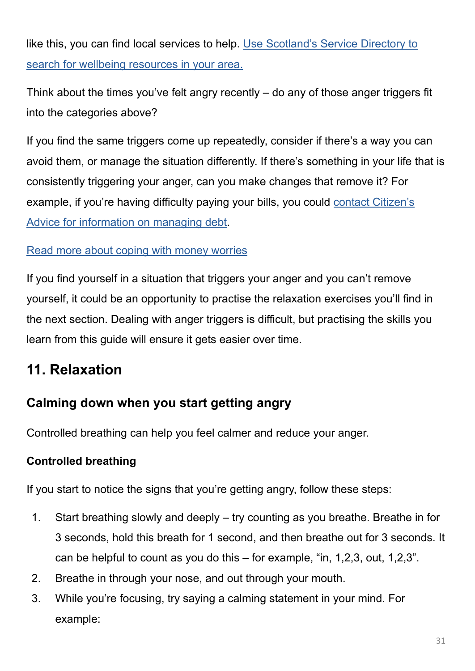like this, you can find local services to help. [Use Scotland's Service Directory to](https://www.nhsinform.scot/scotlands-service-directory/health-and-wellbeing-services/) [search for wellbeing resources in your area.](https://www.nhsinform.scot/scotlands-service-directory/health-and-wellbeing-services/)

Think about the times you've felt angry recently – do any of those anger triggers fit into the categories above?

If you find the same triggers come up repeatedly, consider if there's a way you can avoid them, or manage the situation differently. If there's something in your life that is consistently triggering your anger, can you make changes that remove it? For example, if you're having difficulty paying your bills, you could [contact Citizen's](https://www.citizensadvice.org.uk/scotland/debt-and-money/) [Advice for information on managing debt](https://www.citizensadvice.org.uk/scotland/debt-and-money/).

#### [Read more about coping with money worries](https://www.nhsinform.scot/healthy-living/mental-wellbeing/stress/coping-with-money-worries)

If you find yourself in a situation that triggers your anger and you can't remove yourself, it could be an opportunity to practise the relaxation exercises you'll find in the next section. Dealing with anger triggers is difficult, but practising the skills you learn from this guide will ensure it gets easier over time.

# **11. Relaxation**

## **Calming down when you start getting angry**

Controlled breathing can help you feel calmer and reduce your anger.

#### **Controlled breathing**

If you start to notice the signs that you're getting angry, follow these steps:

- 1. Start breathing slowly and deeply try counting as you breathe. Breathe in for 3 seconds, hold this breath for 1 second, and then breathe out for 3 seconds. It can be helpful to count as you do this – for example, "in, 1,2,3, out, 1,2,3".
- 2. Breathe in through your nose, and out through your mouth.
- 3. While you're focusing, try saying a calming statement in your mind. For example: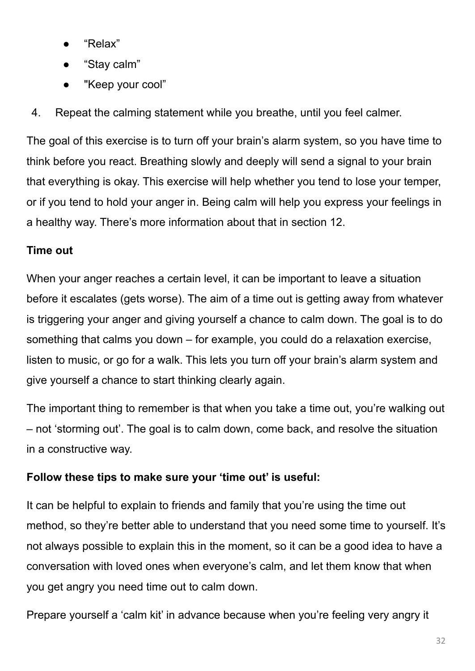- "Relax"
- "Stay calm"
- "Keep your cool"
- 4. Repeat the calming statement while you breathe, until you feel calmer.

The goal of this exercise is to turn off your brain's alarm system, so you have time to think before you react. Breathing slowly and deeply will send a signal to your brain that everything is okay. This exercise will help whether you tend to lose your temper, or if you tend to hold your anger in. Being calm will help you express your feelings in a healthy way. There's more information about that in section 12.

### **Time out**

When your anger reaches a certain level, it can be important to leave a situation before it escalates (gets worse). The aim of a time out is getting away from whatever is triggering your anger and giving yourself a chance to calm down. The goal is to do something that calms you down – for example, you could do a relaxation exercise, listen to music, or go for a walk. This lets you turn off your brain's alarm system and give yourself a chance to start thinking clearly again.

The important thing to remember is that when you take a time out, you're walking out – not 'storming out'. The goal is to calm down, come back, and resolve the situation in a constructive way.

#### **Follow these tips to make sure your 'time out' is useful:**

It can be helpful to explain to friends and family that you're using the time out method, so they're better able to understand that you need some time to yourself. It's not always possible to explain this in the moment, so it can be a good idea to have a conversation with loved ones when everyone's calm, and let them know that when you get angry you need time out to calm down.

Prepare yourself a 'calm kit' in advance because when you're feeling very angry it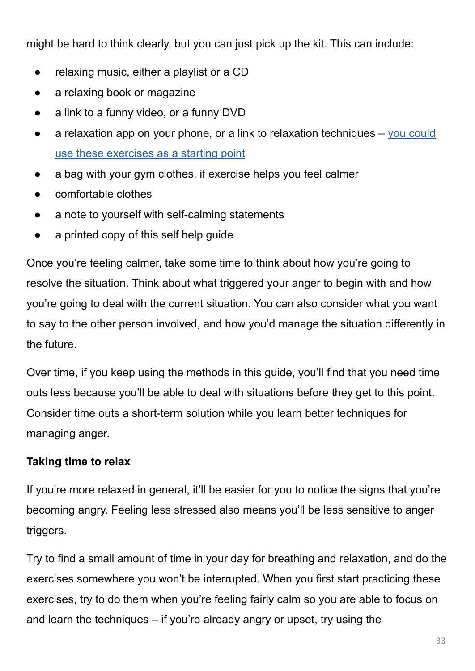might be hard to think clearly, but you can just pick up the kit. This can include:

- relaxing music, either a playlist or a CD
- a relaxing book or magazine
- a link to a funny video, or a funny DVD
- a relaxation app on your phone, or a link to relaxation techniques  $-$  [you could](https://www.nhsinform.scot/healthy-living/mental-wellbeing/stress/breathing-and-relaxation-exercises-for-stress/) [use these exercises as a starting point](https://www.nhsinform.scot/healthy-living/mental-wellbeing/stress/breathing-and-relaxation-exercises-for-stress/)
- a bag with your gym clothes, if exercise helps you feel calmer
- comfortable clothes
- a note to yourself with self-calming statements
- a printed copy of this self help guide

Once you're feeling calmer, take some time to think about how you're going to resolve the situation. Think about what triggered your anger to begin with and how you're going to deal with the current situation. You can also consider what you want to say to the other person involved, and how you'd manage the situation differently in the future.

Over time, if you keep using the methods in this guide, you'll find that you need time outs less because you'll be able to deal with situations before they get to this point. Consider time outs a short-term solution while you learn better techniques for managing anger.

### **Taking time to relax**

If you're more relaxed in general, it'll be easier for you to notice the signs that you're becoming angry. Feeling less stressed also means you'll be less sensitive to anger triggers.

Try to find a small amount of time in your day for breathing and relaxation, and do the exercises somewhere you won't be interrupted. When you first start practicing these exercises, try to do them when you're feeling fairly calm so you are able to focus on and learn the techniques – if you're already angry or upset, try using the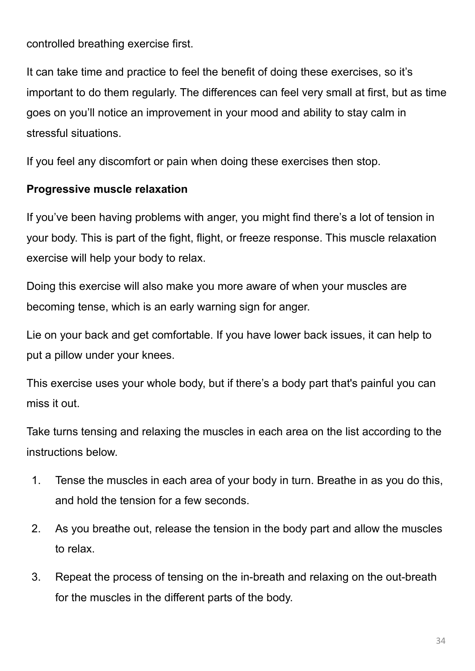controlled breathing exercise first.

It can take time and practice to feel the benefit of doing these exercises, so it's important to do them regularly. The differences can feel very small at first, but as time goes on you'll notice an improvement in your mood and ability to stay calm in stressful situations.

If you feel any discomfort or pain when doing these exercises then stop.

#### **Progressive muscle relaxation**

If you've been having problems with anger, you might find there's a lot of tension in your body. This is part of the fight, flight, or freeze response. This muscle relaxation exercise will help your body to relax.

Doing this exercise will also make you more aware of when your muscles are becoming tense, which is an early warning sign for anger.

Lie on your back and get comfortable. If you have lower back issues, it can help to put a pillow under your knees.

This exercise uses your whole body, but if there's a body part that's painful you can miss it out.

Take turns tensing and relaxing the muscles in each area on the list according to the instructions below.

- 1. Tense the muscles in each area of your body in turn. Breathe in as you do this, and hold the tension for a few seconds.
- 2. As you breathe out, release the tension in the body part and allow the muscles to relax.
- 3. Repeat the process of tensing on the in-breath and relaxing on the out-breath for the muscles in the different parts of the body.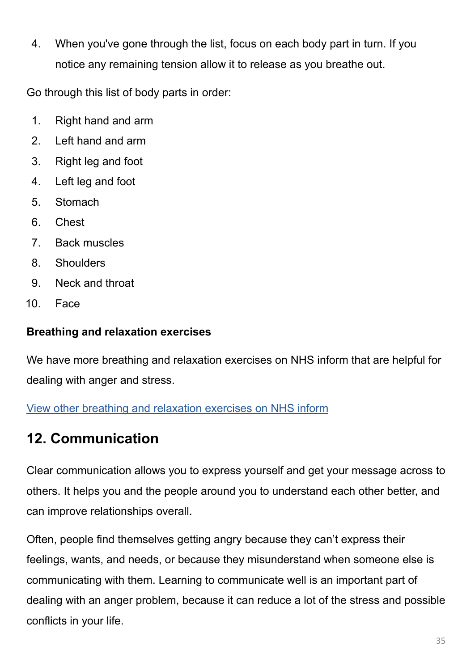4. When you've gone through the list, focus on each body part in turn. If you notice any remaining tension allow it to release as you breathe out.

Go through this list of body parts in order:

- 1. Right hand and arm
- 2. Left hand and arm
- 3. Right leg and foot
- 4. Left leg and foot
- 5. Stomach
- 6. Chest
- 7. Back muscles
- 8. Shoulders
- 9. Neck and throat
- 10. Face

### **Breathing and relaxation exercises**

We have more breathing and relaxation exercises on NHS inform that are helpful for dealing with anger and stress.

[View other breathing and relaxation exercises on NHS inform](https://www.nhsinform.scot/healthy-living/mental-wellbeing/stress/breathing-and-relaxation-exercises-for-stress/)

# **12. Communication**

Clear communication allows you to express yourself and get your message across to others. It helps you and the people around you to understand each other better, and can improve relationships overall.

Often, people find themselves getting angry because they can't express their feelings, wants, and needs, or because they misunderstand when someone else is communicating with them. Learning to communicate well is an important part of dealing with an anger problem, because it can reduce a lot of the stress and possible conflicts in your life.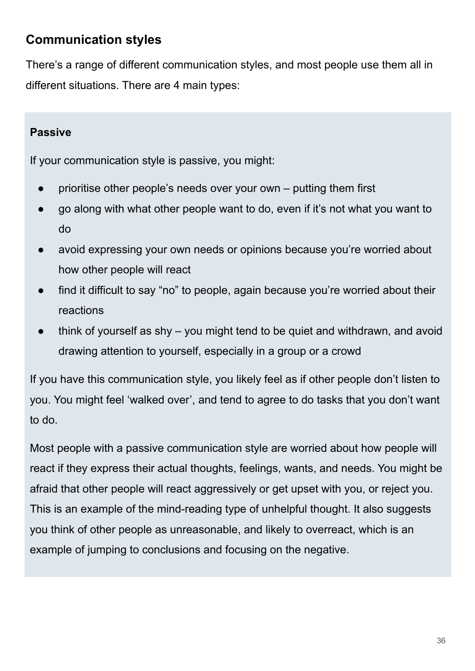## **Communication styles**

There's a range of different communication styles, and most people use them all in different situations. There are 4 main types:

#### **Passive**

If your communication style is passive, you might:

- prioritise other people's needs over your own putting them first
- go along with what other people want to do, even if it's not what you want to do
- avoid expressing your own needs or opinions because you're worried about how other people will react
- find it difficult to say "no" to people, again because you're worried about their reactions
- think of yourself as shy  $-$  you might tend to be quiet and withdrawn, and avoid drawing attention to yourself, especially in a group or a crowd

If you have this communication style, you likely feel as if other people don't listen to you. You might feel 'walked over', and tend to agree to do tasks that you don't want to do.

Most people with a passive communication style are worried about how people will react if they express their actual thoughts, feelings, wants, and needs. You might be afraid that other people will react aggressively or get upset with you, or reject you. This is an example of the mind-reading type of unhelpful thought. It also suggests you think of other people as unreasonable, and likely to overreact, which is an example of jumping to conclusions and focusing on the negative.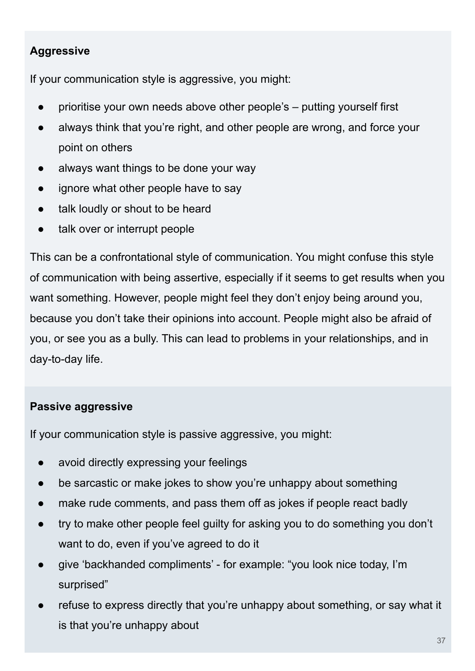### **Aggressive**

If your communication style is aggressive, you might:

- prioritise your own needs above other people's  $-$  putting yourself first
- always think that you're right, and other people are wrong, and force your point on others
- always want things to be done your way
- ignore what other people have to say
- talk loudly or shout to be heard
- talk over or interrupt people

This can be a confrontational style of communication. You might confuse this style of communication with being assertive, especially if it seems to get results when you want something. However, people might feel they don't enjoy being around you, because you don't take their opinions into account. People might also be afraid of you, or see you as a bully. This can lead to problems in your relationships, and in day-to-day life.

#### **Passive aggressive**

If your communication style is passive aggressive, you might:

- avoid directly expressing your feelings
- be sarcastic or make jokes to show you're unhappy about something
- make rude comments, and pass them off as jokes if people react badly
- try to make other people feel guilty for asking you to do something you don't want to do, even if you've agreed to do it
- give 'backhanded compliments' for example: "you look nice today, I'm surprised"
- refuse to express directly that you're unhappy about something, or say what it is that you're unhappy about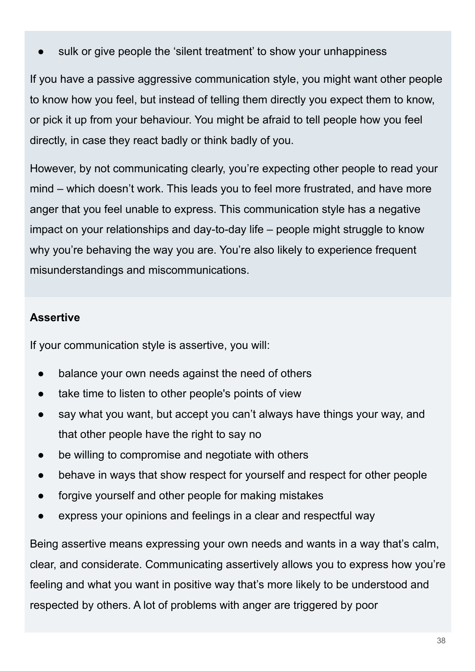sulk or give people the 'silent treatment' to show your unhappiness

If you have a passive aggressive communication style, you might want other people to know how you feel, but instead of telling them directly you expect them to know, or pick it up from your behaviour. You might be afraid to tell people how you feel directly, in case they react badly or think badly of you.

However, by not communicating clearly, you're expecting other people to read your mind – which doesn't work. This leads you to feel more frustrated, and have more anger that you feel unable to express. This communication style has a negative impact on your relationships and day-to-day life – people might struggle to know why you're behaving the way you are. You're also likely to experience frequent misunderstandings and miscommunications.

#### **Assertive**

If your communication style is assertive, you will:

- balance your own needs against the need of others
- take time to listen to other people's points of view
- say what you want, but accept you can't always have things your way, and that other people have the right to say no
- be willing to compromise and negotiate with others
- behave in ways that show respect for yourself and respect for other people
- forgive yourself and other people for making mistakes
- express your opinions and feelings in a clear and respectful way

Being assertive means expressing your own needs and wants in a way that's calm, clear, and considerate. Communicating assertively allows you to express how you're feeling and what you want in positive way that's more likely to be understood and respected by others. A lot of problems with anger are triggered by poor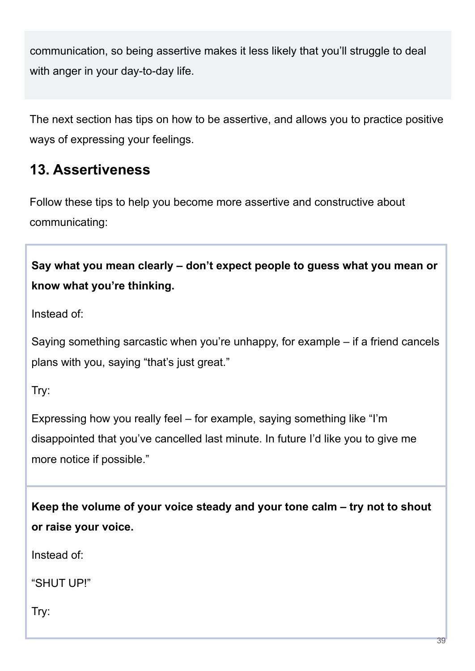communication, so being assertive makes it less likely that you'll struggle to deal with anger in your day-to-day life.

The next section has tips on how to be assertive, and allows you to practice positive ways of expressing your feelings.

# **13. Assertiveness**

Follow these tips to help you become more assertive and constructive about communicating:

**Say what you mean clearly – don't expect people to guess what you mean or know what you're thinking.**

Instead of:

Saying something sarcastic when you're unhappy, for example – if a friend cancels plans with you, saying "that's just great."

Try:

Expressing how you really feel – for example, saying something like "I'm disappointed that you've cancelled last minute. In future I'd like you to give me more notice if possible."

**Keep the volume of your voice steady and your tone calm – try not to shout or raise your voice.**

Instead of:

"SHUT UP!"

Try: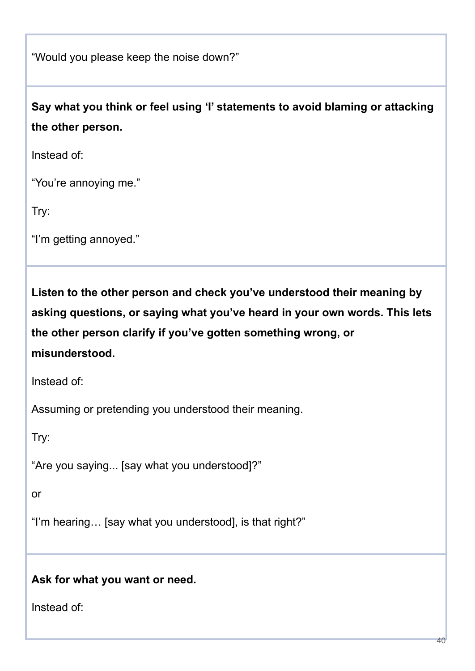"Would you please keep the noise down?"

**Say what you think or feel using 'I' statements to avoid blaming or attacking the other person.**

Instead of:

"You're annoying me."

Try:

"I'm getting annoyed."

**Listen to the other person and check you've understood their meaning by asking questions, or saying what you've heard in your own words. This lets the other person clarify if you've gotten something wrong, or misunderstood.**

Instead of:

Assuming or pretending you understood their meaning.

Try:

"Are you saying... [say what you understood]?"

or

"I'm hearing… [say what you understood], is that right?"

#### **Ask for what you want or need.**

Instead of: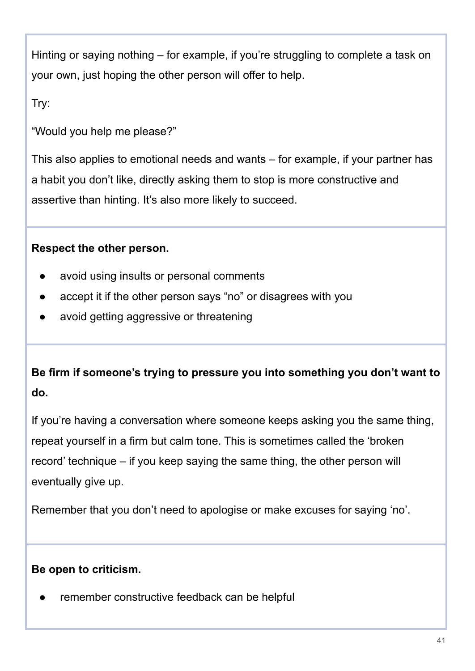Hinting or saying nothing – for example, if you're struggling to complete a task on your own, just hoping the other person will offer to help.

Try:

"Would you help me please?"

This also applies to emotional needs and wants – for example, if your partner has a habit you don't like, directly asking them to stop is more constructive and assertive than hinting. It's also more likely to succeed.

### **Respect the other person.**

- avoid using insults or personal comments
- accept it if the other person says "no" or disagrees with you
- avoid getting aggressive or threatening

# **Be firm if someone's trying to pressure you into something you don't want to do.**

If you're having a conversation where someone keeps asking you the same thing, repeat yourself in a firm but calm tone. This is sometimes called the 'broken record' technique – if you keep saying the same thing, the other person will eventually give up.

Remember that you don't need to apologise or make excuses for saying 'no'.

#### **Be open to criticism.**

remember constructive feedback can be helpful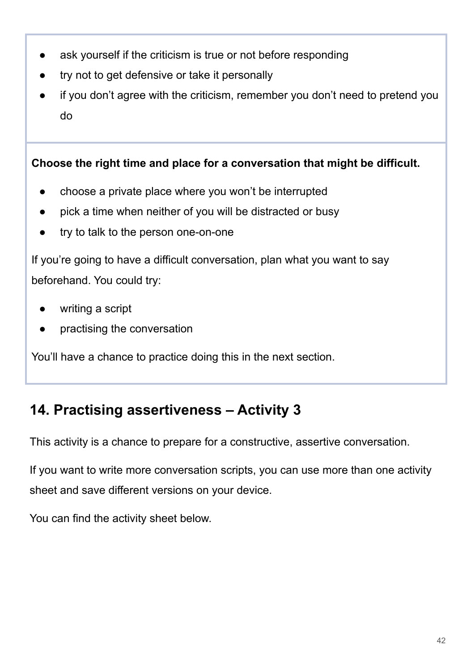- ask yourself if the criticism is true or not before responding
- try not to get defensive or take it personally
- If you don't agree with the criticism, remember you don't need to pretend you do

**Choose the right time and place for a conversation that might be difficult.**

- choose a private place where you won't be interrupted
- pick a time when neither of you will be distracted or busy
- try to talk to the person one-on-one

If you're going to have a difficult conversation, plan what you want to say beforehand. You could try:

- writing a script
- practising the conversation

You'll have a chance to practice doing this in the next section.

# **14. Practising assertiveness – Activity 3**

This activity is a chance to prepare for a constructive, assertive conversation.

If you want to write more conversation scripts, you can use more than one activity sheet and save different versions on your device.

You can find the activity sheet below.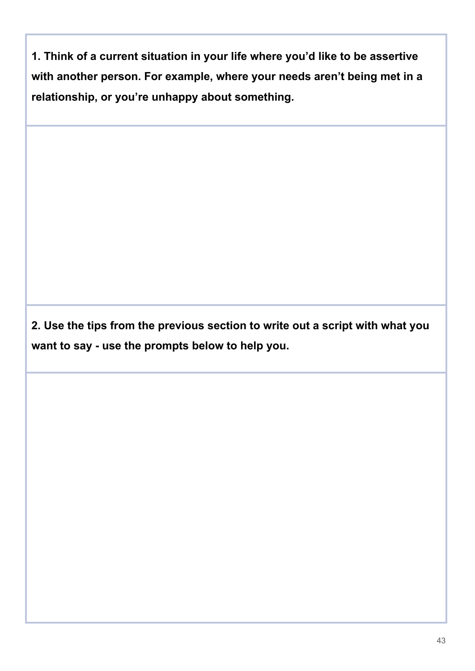**1. Think of a current situation in your life where you'd like to be assertive with another person. For example, where your needs aren't being met in a relationship, or you're unhappy about something.**

**2. Use the tips from the previous section to write out a script with what you want to say - use the prompts below to help you.**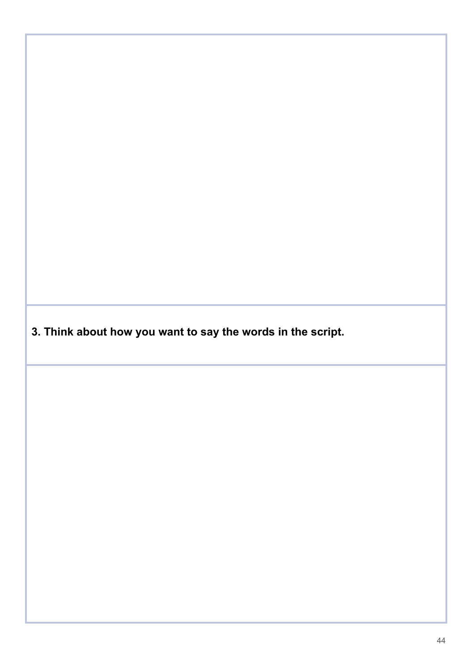**3. Think about how you want to say the words in the script.**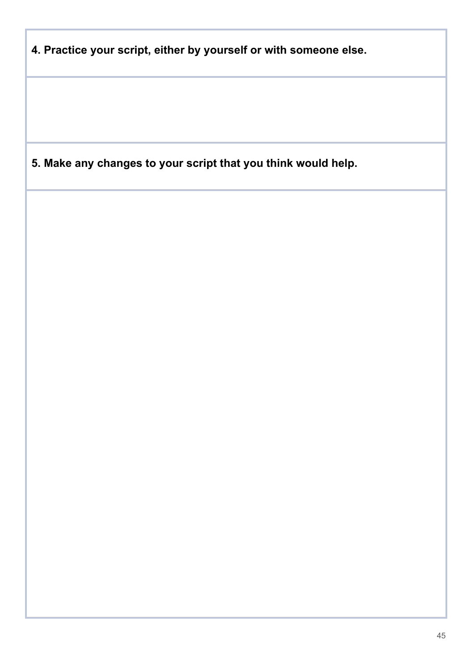| 4. Practice your script, either by yourself or with someone else. |  |  |
|-------------------------------------------------------------------|--|--|
|                                                                   |  |  |
|                                                                   |  |  |
|                                                                   |  |  |
|                                                                   |  |  |
| 5. Make any changes to your script that you think would help.     |  |  |
|                                                                   |  |  |
|                                                                   |  |  |
|                                                                   |  |  |
|                                                                   |  |  |
|                                                                   |  |  |
|                                                                   |  |  |
|                                                                   |  |  |
|                                                                   |  |  |
|                                                                   |  |  |
|                                                                   |  |  |
|                                                                   |  |  |
|                                                                   |  |  |
|                                                                   |  |  |
|                                                                   |  |  |
|                                                                   |  |  |
|                                                                   |  |  |
|                                                                   |  |  |
|                                                                   |  |  |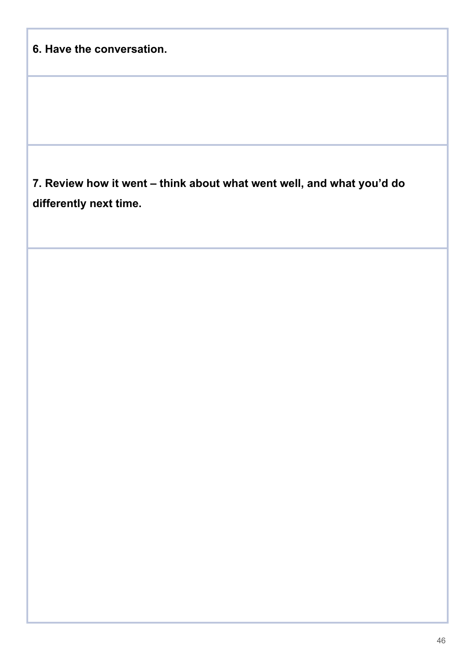|  | 6. Have the conversation. |
|--|---------------------------|
|  |                           |

**7. Review how it went – think about what went well, and what you'd do differently next time.**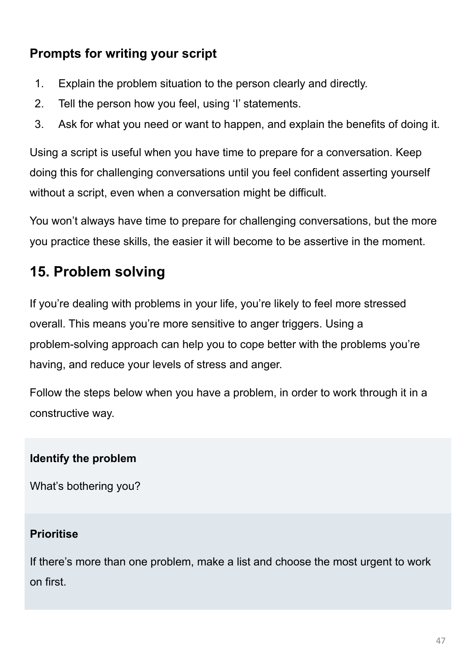# **Prompts for writing your script**

- 1. Explain the problem situation to the person clearly and directly.
- 2. Tell the person how you feel, using 'I' statements.
- 3. Ask for what you need or want to happen, and explain the benefits of doing it.

Using a script is useful when you have time to prepare for a conversation. Keep doing this for challenging conversations until you feel confident asserting yourself without a script, even when a conversation might be difficult.

You won't always have time to prepare for challenging conversations, but the more you practice these skills, the easier it will become to be assertive in the moment.

# **15. Problem solving**

If you're dealing with problems in your life, you're likely to feel more stressed overall. This means you're more sensitive to anger triggers. Using a problem-solving approach can help you to cope better with the problems you're having, and reduce your levels of stress and anger.

Follow the steps below when you have a problem, in order to work through it in a constructive way.

### **Identify the problem**

What's bothering you?

#### **Prioritise**

If there's more than one problem, make a list and choose the most urgent to work on first.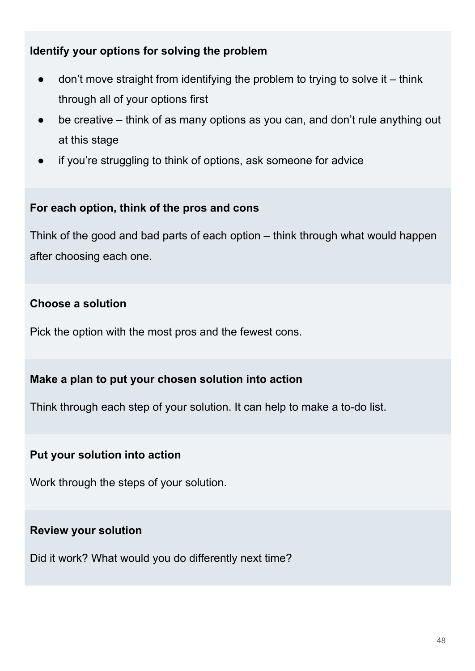#### **Identify your options for solving the problem**

- $\bullet$  don't move straight from identifying the problem to trying to solve it think through all of your options first
- be creative think of as many options as you can, and don't rule anything out at this stage
- if you're struggling to think of options, ask someone for advice

#### **For each option, think of the pros and cons**

Think of the good and bad parts of each option – think through what would happen after choosing each one.

#### **Choose a solution**

Pick the option with the most pros and the fewest cons.

#### **Make a plan to put your chosen solution into action**

Think through each step of your solution. It can help to make a to-do list.

#### **Put your solution into action**

Work through the steps of your solution.

#### **Review your solution**

Did it work? What would you do differently next time?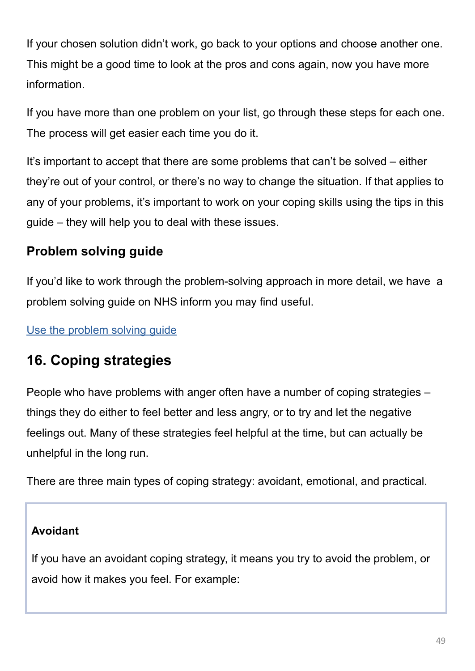If your chosen solution didn't work, go back to your options and choose another one. This might be a good time to look at the pros and cons again, now you have more information.

If you have more than one problem on your list, go through these steps for each one. The process will get easier each time you do it.

It's important to accept that there are some problems that can't be solved – either they're out of your control, or there's no way to change the situation. If that applies to any of your problems, it's important to work on your coping skills using the tips in this guide – they will help you to deal with these issues.

# **Problem solving guide**

If you'd like to work through the problem-solving approach in more detail, we have a problem solving guide on NHS inform you may find useful.

[Use the problem solving guide](https://www.nhsinform.scot/illnesses-and-conditions/mental-health/mental-health-self-help-guides/problem-solving-self-help-guide/)

# **16. Coping strategies**

People who have problems with anger often have a number of coping strategies – things they do either to feel better and less angry, or to try and let the negative feelings out. Many of these strategies feel helpful at the time, but can actually be unhelpful in the long run.

There are three main types of coping strategy: avoidant, emotional, and practical.

#### **Avoidant**

If you have an avoidant coping strategy, it means you try to avoid the problem, or avoid how it makes you feel. For example: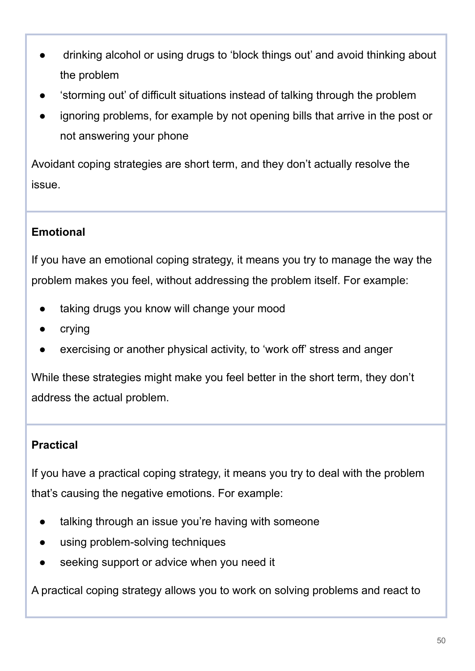- drinking alcohol or using drugs to 'block things out' and avoid thinking about the problem
- 'storming out' of difficult situations instead of talking through the problem
- ignoring problems, for example by not opening bills that arrive in the post or not answering your phone

Avoidant coping strategies are short term, and they don't actually resolve the issue.

### **Emotional**

If you have an emotional coping strategy, it means you try to manage the way the problem makes you feel, without addressing the problem itself. For example:

- taking drugs you know will change your mood
- crying
- exercising or another physical activity, to 'work off' stress and anger

While these strategies might make you feel better in the short term, they don't address the actual problem.

### **Practical**

If you have a practical coping strategy, it means you try to deal with the problem that's causing the negative emotions. For example:

- talking through an issue you're having with someone
- using problem-solving techniques
- seeking support or advice when you need it

A practical coping strategy allows you to work on solving problems and react to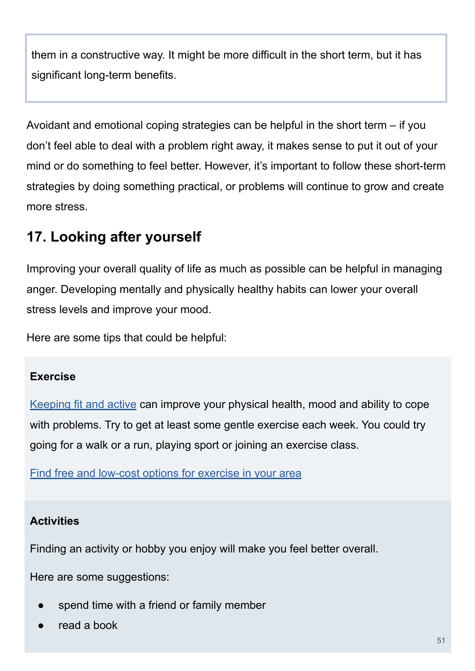them in a constructive way. It might be more difficult in the short term, but it has significant long-term benefits.

Avoidant and emotional coping strategies can be helpful in the short term – if you don't feel able to deal with a problem right away, it makes sense to put it out of your mind or do something to feel better. However, it's important to follow these short-term strategies by doing something practical, or problems will continue to grow and create more stress.

# **17. Looking after yourself**

Improving your overall quality of life as much as possible can be helpful in managing anger. Developing mentally and physically healthy habits can lower your overall stress levels and improve your mood.

Here are some tips that could be helpful:

#### **Exercise**

[Keeping fit and active](https://www.nhsinform.scot/healthy-living/keeping-active) can improve your physical health, mood and ability to cope with problems. Try to get at least some gentle exercise each week. You could try going for a walk or a run, playing sport or joining an exercise class.

[Find free and low-cost options for exercise in your area](https://www.nhsinform.scot/scotlands-service-directory/health-and-wellbeing-services?sortdir=Asc&svctype=21)

#### **Activities**

Finding an activity or hobby you enjoy will make you feel better overall.

Here are some suggestions:

- spend time with a friend or family member
- read a book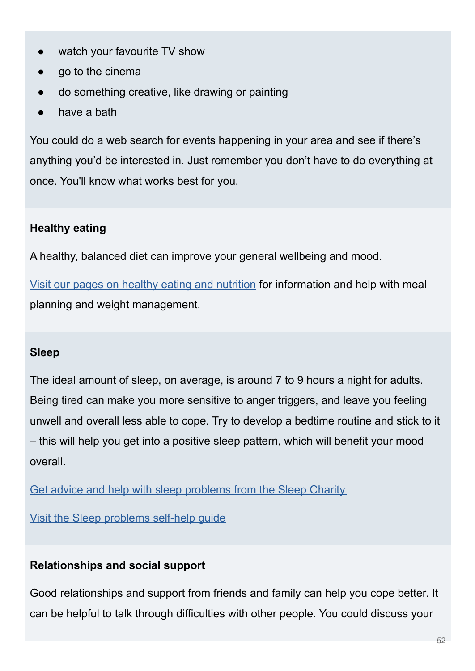- watch your favourite TV show
- go to the cinema
- do something creative, like drawing or painting
- have a bath

You could do a web search for events happening in your area and see if there's anything you'd be interested in. Just remember you don't have to do everything at once. You'll know what works best for you.

## **Healthy eating**

A healthy, balanced diet can improve your general wellbeing and mood.

[Visit our pages on healthy eating and nutrition](https://www.nhsinform.scot/healthy-living/food-and-nutrition) for information and help with meal planning and weight management.

### **Sleep**

The ideal amount of sleep, on average, is around 7 to 9 hours a night for adults. Being tired can make you more sensitive to anger triggers, and leave you feeling unwell and overall less able to cope. Try to develop a bedtime routine and stick to it – this will help you get into a positive sleep pattern, which will benefit your mood overall.

[Get advice and help with sleep problems from the Sleep C](https://thesleepcharity.org.uk/)harity

[Visit the Sleep problems self-help guide](https://www.nhsinform.scot/illnesses-and-conditions/mental-health/mental-health-self-help-guides/sleep-problems-and-insomnia-self-help-guide)

### **Relationships and social support**

Good relationships and support from friends and family can help you cope better. It can be helpful to talk through difficulties with other people. You could discuss your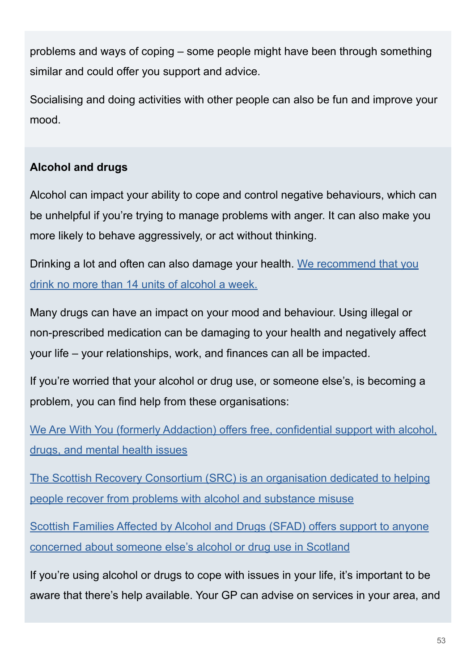problems and ways of coping – some people might have been through something similar and could offer you support and advice.

Socialising and doing activities with other people can also be fun and improve your mood.

## **Alcohol and drugs**

Alcohol can impact your ability to cope and control negative behaviours, which can be unhelpful if you're trying to manage problems with anger. It can also make you more likely to behave aggressively, or act without thinking.

Drinking a lot and often can also damage your health. [We recommend that you](https://www.nhsinform.scot/healthy-living/alcohol) [drink no more than 14 units of alcohol a week.](https://www.nhsinform.scot/healthy-living/alcohol)

Many drugs can have an impact on your mood and behaviour. Using illegal or non-prescribed medication can be damaging to your health and negatively affect your life – your relationships, work, and finances can all be impacted.

If you're worried that your alcohol or drug use, or someone else's, is becoming a problem, you can find help from these organisations:

[We Are With You \(formerly Addaction\) offers free, confidential support with alcohol,](https://www.wearewithyou.org.uk/) [drugs, and mental health issues](https://www.wearewithyou.org.uk/)

[The Scottish Recovery Consortium \(SRC\) is an organisation dedicated to helping](https://scottishrecoveryconsortium.org/) [people recover from problems with alcohol and substance misuse](https://scottishrecoveryconsortium.org/)

[Scottish Families Affected by Alcohol and Drugs \(SFAD\) offers support to anyone](https://www.sfad.org.uk/) [concerned about someone else's alcohol or drug use in Scotland](https://www.sfad.org.uk/)

If you're using alcohol or drugs to cope with issues in your life, it's important to be aware that there's help available. Your GP can advise on services in your area, and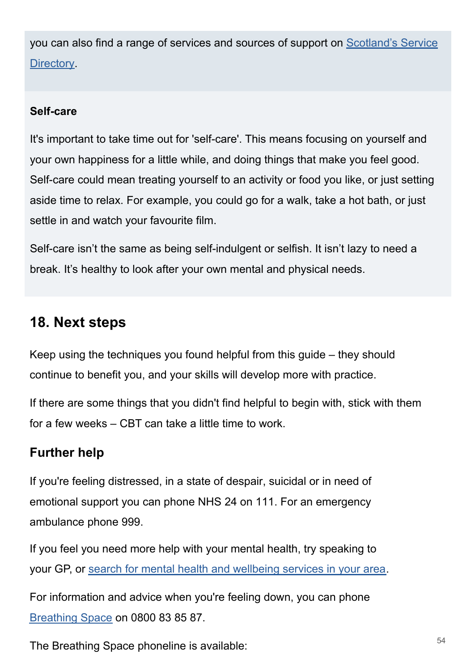you can also find a range of services and sources of support on [Scotland's Service](https://www.nhsinform.scot/scotlands-service-directory) [Directory.](https://www.nhsinform.scot/scotlands-service-directory)

#### **Self-care**

It's important to take time out for 'self-care'. This means focusing on yourself and your own happiness for a little while, and doing things that make you feel good. Self-care could mean treating yourself to an activity or food you like, or just setting aside time to relax. For example, you could go for a walk, take a hot bath, or just settle in and watch your favourite film.

Self-care isn't the same as being self-indulgent or selfish. It isn't lazy to need a break. It's healthy to look after your own mental and physical needs.

# **18. Next steps**

Keep using the techniques you found helpful from this guide – they should continue to benefit you, and your skills will develop more with practice.

If there are some things that you didn't find helpful to begin with, stick with them for a few weeks – CBT can take a little time to work.

## **Further help**

If you're feeling distressed, in a state of despair, suicidal or in need of emotional support you can phone NHS 24 on 111. For an emergency ambulance phone 999.

If you feel you need more help with your mental health, try speaking to your GP, or [search for mental health and wellbeing services in your area.](https://www.nhsinform.scot/scotlands-service-directory/health-and-wellbeing-services?sortdir=Asc&svctype=15)

For information and advice when you're feeling down, you can phone [Breathing Space](https://breathingspace.scot/) on 0800 83 85 87.

The Breathing Space phoneline is available:  $54$